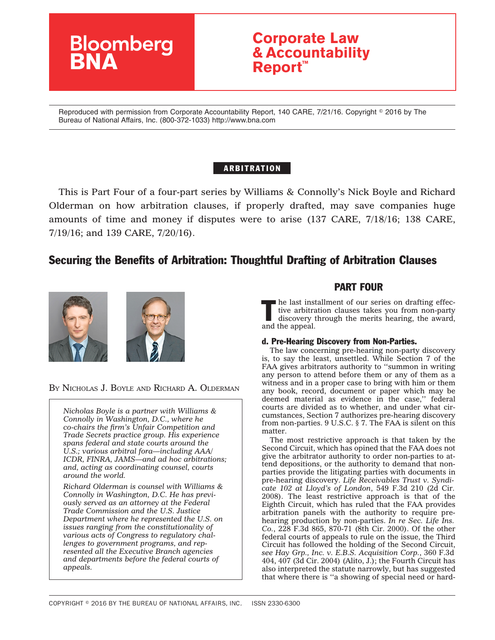

# **Corporate Law & Accountability Report™**

Reproduced with permission from Corporate Accountability Report, 140 CARE, 7/21/16. Copyright © 2016 by The Bureau of National Affairs, Inc. (800-372-1033) http://www.bna.com

## ARBITRATION

This is Part Four of a four-part series by Williams & Connolly's Nick Boyle and Richard Olderman on how arbitration clauses, if properly drafted, may save companies huge amounts of time and money if disputes were to arise (137 CARE, 7/18/16; 138 CARE, 7/19/16; and 139 CARE, 7/20/16).

## Securing the Benefits of Arbitration: Thoughtful Drafting of Arbitration Clauses



BY NICHOLAS J. BOYLE AND RICHARD A. OLDERMAN

*Nicholas Boyle is a partner with Williams & Connolly in Washington, D.C., where he co-chairs the firm's Unfair Competition and Trade Secrets practice group. His experience spans federal and state courts around the U.S.; various arbitral fora—including AAA/ ICDR, FINRA, JAMS—and ad hoc arbitrations; and, acting as coordinating counsel, courts around the world.*

*Richard Olderman is counsel with Williams & Connolly in Washington, D.C. He has previously served as an attorney at the Federal Trade Commission and the U.S. Justice Department where he represented the U.S. on issues ranging from the constitutionality of various acts of Congress to regulatory challenges to government programs, and represented all the Executive Branch agencies and departments before the federal courts of appeals.*

## PART FOUR

I he last installment of our series on drafting effective arbitration clauses takes you from non-party discovery through the merits hearing, the award, and the appeal.

#### d. Pre-Hearing Discovery from Non-Parties.

The law concerning pre-hearing non-party discovery is, to say the least, unsettled. While Section 7 of the FAA gives arbitrators authority to ''summon in writing any person to attend before them or any of them as a witness and in a proper case to bring with him or them any book, record, document or paper which may be deemed material as evidence in the case,'' federal courts are divided as to whether, and under what circumstances, Section 7 authorizes pre-hearing discovery from non-parties. 9 U.S.C. § 7. The FAA is silent on this matter.

The most restrictive approach is that taken by the Second Circuit, which has opined that the FAA does not give the arbitrator authority to order non-parties to attend depositions, or the authority to demand that nonparties provide the litigating parties with documents in pre-hearing discovery. *Life Receivables Trust v. Syndicate 102 at Lloyd's of London*, 549 F.3d 210 (2d Cir. 2008). The least restrictive approach is that of the Eighth Circuit, which has ruled that the FAA provides arbitration panels with the authority to require prehearing production by non-parties. *In re Sec. Life Ins. Co.*, 228 F.3d 865, 870-71 (8th Cir. 2000). Of the other federal courts of appeals to rule on the issue, the Third Circuit has followed the holding of the Second Circuit, *see Hay Grp., Inc. v. E.B.S. Acquisition Corp.*, 360 F.3d 404, 407 (3d Cir. 2004) (Alito, J.); the Fourth Circuit has also interpreted the statute narrowly, but has suggested that where there is ''a showing of special need or hard-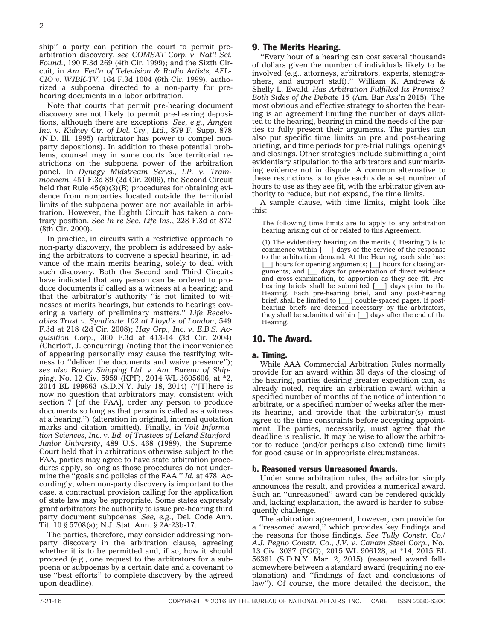ship'' a party can petition the court to permit prearbitration discovery, *see COMSAT Corp. v. Nat'l Sci. Found.*, 190 F.3d 269 (4th Cir. 1999); and the Sixth Circuit, in *Am. Fed'n of Television & Radio Artists, AFL-CIO v. WJBK-TV*, 164 F.3d 1004 (6th Cir. 1999), authorized a subpoena directed to a non-party for prehearing documents in a labor arbitration.

Note that courts that permit pre-hearing document discovery are not likely to permit pre-hearing depositions, although there are exceptions. *See, e.g.*, *Amgen Inc. v. Kidney Ctr. of Del. Cty., Ltd.*, 879 F. Supp. 878 (N.D. Ill. 1995) (arbitrator has power to compel nonparty depositions). In addition to these potential problems, counsel may in some courts face territorial restrictions on the subpoena power of the arbitration panel. In *Dynegy Midstream Servs., LP. v. Trammochem*, 451 F.3d 89 (2d Cir. 2006), the Second Circuit held that Rule  $45(a)(3)(B)$  procedures for obtaining evidence from nonparties located outside the territorial limits of the subpoena power are not available in arbitration. However, the Eighth Circuit has taken a contrary position. *See In re Sec. Life Ins.*, 228 F.3d at 872 (8th Cir. 2000).

In practice, in circuits with a restrictive approach to non-party discovery, the problem is addressed by asking the arbitrators to convene a special hearing, in advance of the main merits hearing, solely to deal with such discovery. Both the Second and Third Circuits have indicated that any person can be ordered to produce documents if called as a witness at a hearing; and that the arbitrator's authority ''is not limited to witnesses at merits hearings, but extends to hearings covering a variety of preliminary matters.'' *Life Receivables Trust v. Syndicate 102 at Lloyd's of London*, 549 F.3d at 218 (2d Cir. 2008); *Hay Grp., Inc. v. E.B.S. Acquisition Corp.*, 360 F.3d at 413-14 (3d Cir. 2004) (Chertoff, J. concurring) (noting that the inconvenience of appearing personally may cause the testifying witness to ''deliver the documents and waive presence''); *see also Bailey Shipping Ltd. v. Am. Bureau of Shipping*, No. 12 Civ. 5959 (KPF), 2014 WL 3605606, at \*2, 2014 BL 199663 (S.D.N.Y. July 18, 2014) (''[T]here is now no question that arbitrators may, consistent with section 7 [of the FAA], order any person to produce documents so long as that person is called as a witness at a hearing.'') (alteration in original, internal quotation marks and citation omitted). Finally, in *Volt Information Sciences, Inc. v. Bd. of Trustees of Leland Stanford Junior University*, 489 U.S. 468 (1989), the Supreme Court held that in arbitrations otherwise subject to the FAA, parties may agree to have state arbitration procedures apply, so long as those procedures do not undermine the ''goals and policies of the FAA.'' *Id.* at 478. Accordingly, when non-party discovery is important to the case, a contractual provision calling for the application of state law may be appropriate. Some states expressly grant arbitrators the authority to issue pre-hearing third party document subpoenas. *See, e.g.*, Del. Code Ann. Tit. 10 § 5708(a); N.J. Stat. Ann. § 2A:23b-17.

The parties, therefore, may consider addressing nonparty discovery in the arbitration clause, agreeing whether it is to be permitted and, if so, how it should proceed (e.g., one request to the arbitrators for a subpoena or subpoenas by a certain date and a covenant to use ''best efforts'' to complete discovery by the agreed upon deadline).

#### 9. The Merits Hearing.

''Every hour of a hearing can cost several thousands of dollars given the number of individuals likely to be involved (e.g., attorneys, arbitrators, experts, stenographers, and support staff)." William K. Andrews & Shelly L. Ewald, *Has Arbitration Fulfilled Its Promise? Both Sides of the Debate* 15 (Am. Bar Ass'n 2015). The most obvious and effective strategy to shorten the hearing is an agreement limiting the number of days allotted to the hearing, bearing in mind the needs of the parties to fully present their arguments. The parties can also put specific time limits on pre and post-hearing briefing, and time periods for pre-trial rulings, openings and closings. Other strategies include submitting a joint evidentiary stipulation to the arbitrators and summarizing evidence not in dispute. A common alternative to these restrictions is to give each side a set number of hours to use as they see fit, with the arbitrator given authority to reduce, but not expand, the time limits.

A sample clause, with time limits, might look like this:

The following time limits are to apply to any arbitration hearing arising out of or related to this Agreement:

(1) The evidentiary hearing on the merits (''Hearing'') is to commence within [\_\_\_] days of the service of the response to the arbitration demand. At the Hearing, each side has: [  $\Box$ ] hours for opening arguments; [  $\Box$ ] hours for closing arguments; and [\_\_] days for presentation of direct evidence and cross-examination, to apportion as they see fit. Prehearing briefs shall be submitted [\_\_\_] days prior to the Hearing. Each pre-hearing brief, and any post-hearing brief, shall be limited to [\_\_\_] double-spaced pages. If posthearing briefs are deemed necessary by the arbitrators, they shall be submitted within [\_\_] days after the end of the Hearing.

#### 10. The Award.

#### a. Timing.

While AAA Commercial Arbitration Rules normally provide for an award within 30 days of the closing of the hearing, parties desiring greater expedition can, as already noted, require an arbitration award within a specified number of months of the notice of intention to arbitrate, or a specified number of weeks after the merits hearing, and provide that the arbitrator(s) must agree to the time constraints before accepting appointment. The parties, necessarily, must agree that the deadline is realistic. It may be wise to allow the arbitrator to reduce (and/or perhaps also extend) time limits for good cause or in appropriate circumstances.

#### b. Reasoned versus Unreasoned Awards.

Under some arbitration rules, the arbitrator simply announces the result, and provides a numerical award. Such an ''unreasoned'' award can be rendered quickly and, lacking explanation, the award is harder to subsequently challenge.

The arbitration agreement, however, can provide for a ''reasoned award,'' which provides key findings and the reasons for those findings. *See Tully Constr. Co./ A.J. Pegno Constr. Co., J.V. v. Canam Steel Corp.*, No. 13 Civ. 3037 (PGG), 2015 WL 906128, at \*14, 2015 BL 56361 (S.D.N.Y. Mar. 2, 2015) (reasoned award falls somewhere between a standard award (requiring no explanation) and ''findings of fact and conclusions of law''). Of course, the more detailed the decision, the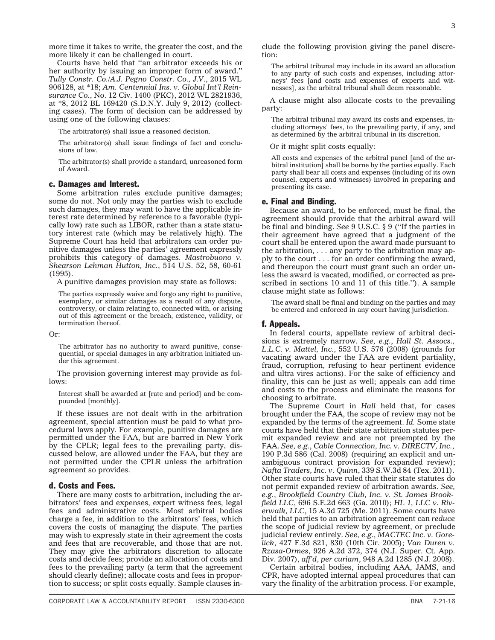more likely it can be challenged in court. Courts have held that ''an arbitrator exceeds his or

her authority by issuing an improper form of award.'' *Tully Constr. Co./A.J. Pegno Constr. Co., J.V.*, 2015 WL 906128, at \*18; *Am. Centennial Ins. v. Global Int'l Reinsurance Co.*, No. 12 Civ. 1400 (PKC), 2012 WL 2821936, at \*8, 2012 BL 169420 (S.D.N.Y. July 9, 2012) (collecting cases). The form of decision can be addressed by using one of the following clauses:

more time it takes to write, the greater the cost, and the

The arbitrator(s) shall issue a reasoned decision.

The arbitrator(s) shall issue findings of fact and conclusions of law.

The arbitrator(s) shall provide a standard, unreasoned form of Award.

#### c. Damages and Interest.

Some arbitration rules exclude punitive damages; some do not. Not only may the parties wish to exclude such damages, they may want to have the applicable interest rate determined by reference to a favorable (typically low) rate such as LIBOR, rather than a state statutory interest rate (which may be relatively high). The Supreme Court has held that arbitrators can order punitive damages unless the parties' agreement expressly prohibits this category of damages. *Mastrobuono v. Shearson Lehman Hutton, Inc.*, 514 U.S. 52, 58, 60-61 (1995).

A punitive damages provision may state as follows:

The parties expressly waive and forgo any right to punitive, exemplary, or similar damages as a result of any dispute, controversy, or claim relating to, connected with, or arising out of this agreement or the breach, existence, validity, or termination thereof.

Or:

The arbitrator has no authority to award punitive, consequential, or special damages in any arbitration initiated under this agreement.

The provision governing interest may provide as follows:

Interest shall be awarded at [rate and period] and be compounded [monthly].

If these issues are not dealt with in the arbitration agreement, special attention must be paid to what procedural laws apply. For example, punitive damages are permitted under the FAA, but are barred in New York by the CPLR; legal fees to the prevailing party, discussed below, are allowed under the FAA, but they are not permitted under the CPLR unless the arbitration agreement so provides.

#### d. Costs and Fees.

There are many costs to arbitration, including the arbitrators' fees and expenses, expert witness fees, legal fees and administrative costs. Most arbitral bodies charge a fee, in addition to the arbitrators' fees, which covers the costs of managing the dispute. The parties may wish to expressly state in their agreement the costs and fees that are recoverable, and those that are not. They may give the arbitrators discretion to allocate costs and decide fees; provide an allocation of costs and fees to the prevailing party (a term that the agreement should clearly define); allocate costs and fees in proportion to success; or split costs equally. Sample clauses include the following provision giving the panel discretion:

The arbitral tribunal may include in its award an allocation to any party of such costs and expenses, including attorneys' fees [and costs and expenses of experts and witnesses], as the arbitral tribunal shall deem reasonable.

A clause might also allocate costs to the prevailing party:

The arbitral tribunal may award its costs and expenses, including attorneys' fees, to the prevailing party, if any, and as determined by the arbitral tribunal in its discretion.

Or it might split costs equally:

All costs and expenses of the arbitral panel [and of the arbitral institution] shall be borne by the parties equally. Each party shall bear all costs and expenses (including of its own counsel, experts and witnesses) involved in preparing and presenting its case.

#### e. Final and Binding.

Because an award, to be enforced, must be final, the agreement should provide that the arbitral award will be final and binding. *See* 9 U.S.C. § 9 (''If the parties in their agreement have agreed that a judgment of the court shall be entered upon the award made pursuant to the arbitration, . . . any party to the arbitration may apply to the court . . . for an order confirming the award, and thereupon the court must grant such an order unless the award is vacated, modified, or corrected as prescribed in sections 10 and 11 of this title.''). A sample clause might state as follows:

The award shall be final and binding on the parties and may be entered and enforced in any court having jurisdiction.

#### f. Appeals.

In federal courts, appellate review of arbitral decisions is extremely narrow. *See, e.g.*, *Hall St. Assocs., L.L.C. v. Mattel, Inc.*, 552 U.S. 576 (2008) (grounds for vacating award under the FAA are evident partiality, fraud, corruption, refusing to hear pertinent evidence and ultra vires actions). For the sake of efficiency and finality, this can be just as well; appeals can add time and costs to the process and eliminate the reasons for choosing to arbitrate.

The Supreme Court in *Hall* held that, for cases brought under the FAA, the scope of review may not be expanded by the terms of the agreement. *Id.* Some state courts have held that their state arbitration statutes permit expanded review and are not preempted by the FAA. *See, e.g.*, *Cable Connection, Inc. v. DIRECTV, Inc.*, 190 P.3d 586 (Cal. 2008) (requiring an explicit and unambiguous contract provision for expanded review); *Nafta Traders, Inc. v. Quinn*, 339 S.W.3d 84 (Tex. 2011). Other state courts have ruled that their state statutes do not permit expanded review of arbitration awards. *See, e.g.*, *Brookfield Country Club, Inc. v. St. James Brookfield LLC*, 696 S.E.2d 663 (Ga. 2010); *HL 1, LLC v. Riverwalk, LLC*, 15 A.3d 725 (Me. 2011). Some courts have held that parties to an arbitration agreement can *reduce* the scope of judicial review by agreement, or preclude judicial review entirely. *See, e.g.*, *MACTEC Inc. v. Gorelick*, 427 F.3d 821, 830 (10th Cir. 2005); *Van Duren v. Rzasa-Ormes*, 926 A.2d 372, 374 (N.J. Super. Ct. App. Div. 2007), *aff'd*, *per curiam*, 948 A.2d 1285 (N.J. 2008).

Certain arbitral bodies, including AAA, JAMS, and CPR, have adopted internal appeal procedures that can vary the finality of the arbitration process. For example,